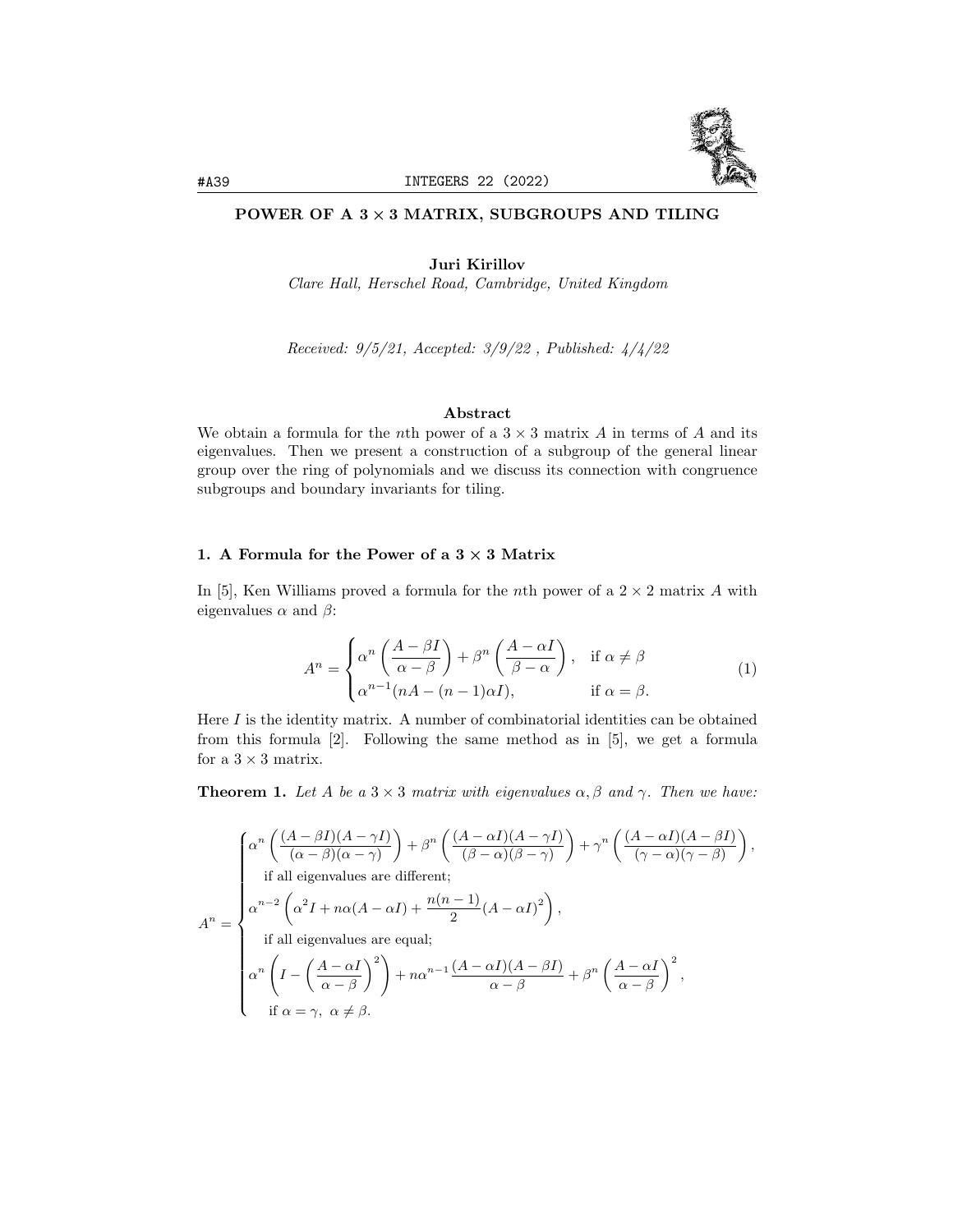

# POWER OF A  $3 \times 3$  MATRIX, SUBGROUPS AND TILING

Juri Kirillov

Clare Hall, Herschel Road, Cambridge, United Kingdom

Received: 9/5/21, Accepted: 3/9/22 , Published: 4/4/22

## Abstract

We obtain a formula for the nth power of a  $3 \times 3$  matrix A in terms of A and its eigenvalues. Then we present a construction of a subgroup of the general linear group over the ring of polynomials and we discuss its connection with congruence subgroups and boundary invariants for tiling.

## 1. A Formula for the Power of a  $3 \times 3$  Matrix

In [5], Ken Williams proved a formula for the *n*th power of a  $2 \times 2$  matrix A with eigenvalues  $\alpha$  and  $\beta$ :

$$
A^{n} = \begin{cases} \alpha^{n} \left( \frac{A - \beta I}{\alpha - \beta} \right) + \beta^{n} \left( \frac{A - \alpha I}{\beta - \alpha} \right), & \text{if } \alpha \neq \beta \\ \alpha^{n-1} (nA - (n-1)\alpha I), & \text{if } \alpha = \beta. \end{cases}
$$
(1)

Here  $I$  is the identity matrix. A number of combinatorial identities can be obtained from this formula [2]. Following the same method as in [5], we get a formula for a  $3 \times 3$  matrix.

**Theorem 1.** Let A be a  $3 \times 3$  matrix with eigenvalues  $\alpha, \beta$  and  $\gamma$ . Then we have:

$$
A^{n} = \begin{cases} \alpha^{n} \left( \frac{(A - \beta I)(A - \gamma I)}{(\alpha - \beta)(\alpha - \gamma)} \right) + \beta^{n} \left( \frac{(A - \alpha I)(A - \gamma I)}{(\beta - \alpha)(\beta - \gamma)} \right) + \gamma^{n} \left( \frac{(A - \alpha I)(A - \beta I)}{(\gamma - \alpha)(\gamma - \beta)} \right), \\ \text{if all eigenvalues are different;} \\ \alpha^{n-2} \left( \alpha^{2} I + n\alpha (A - \alpha I) + \frac{n(n-1)}{2} (A - \alpha I)^{2} \right), \\ \text{if all eigenvalues are equal;} \\ \alpha^{n} \left( I - \left( \frac{A - \alpha I}{\alpha - \beta} \right)^{2} \right) + n\alpha^{n-1} \frac{(A - \alpha I)(A - \beta I)}{\alpha - \beta} + \beta^{n} \left( \frac{A - \alpha I}{\alpha - \beta} \right)^{2}, \\ \text{if } \alpha = \gamma, \ \alpha \neq \beta. \end{cases}
$$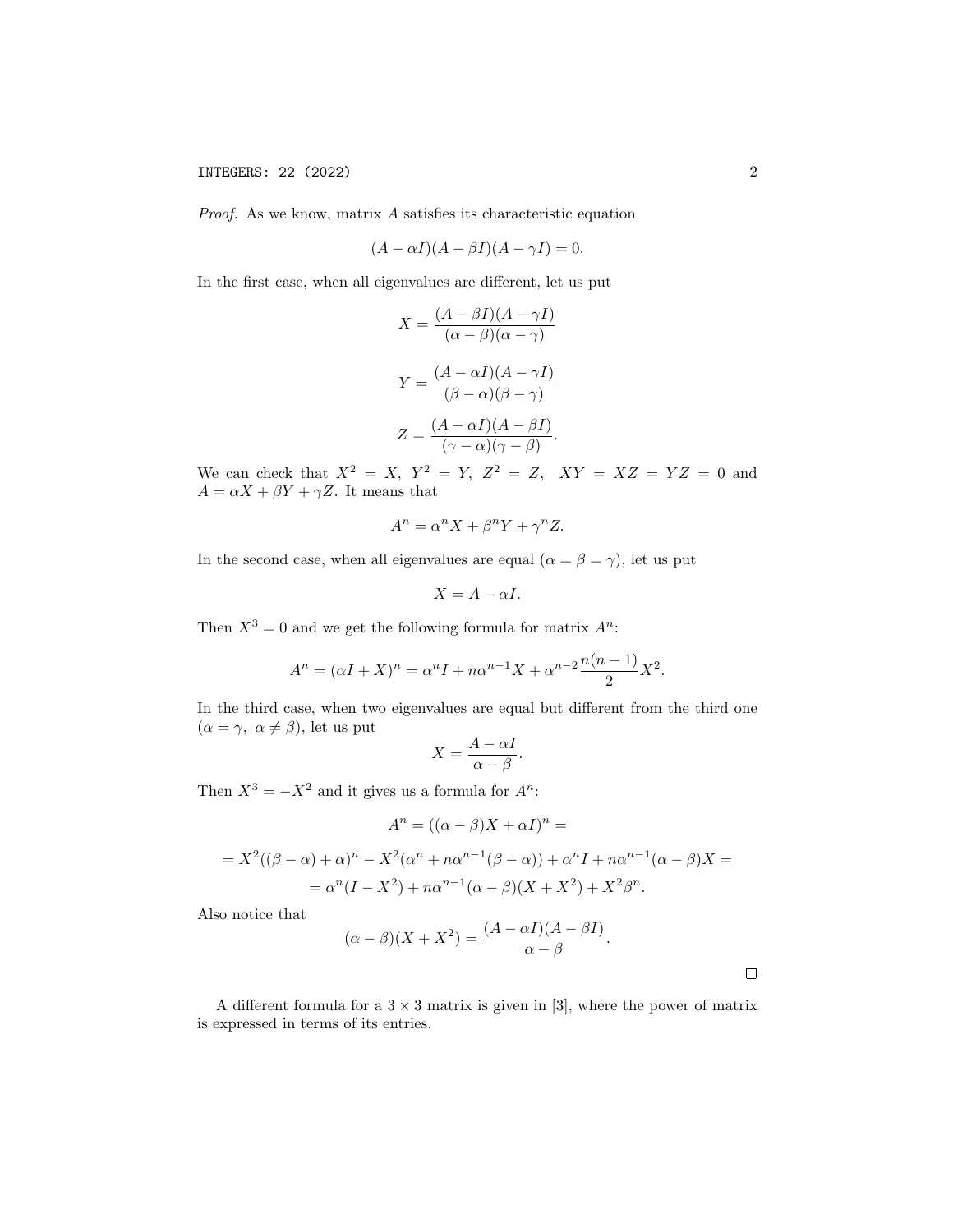Proof. As we know, matrix A satisfies its characteristic equation

$$
(A - \alpha I)(A - \beta I)(A - \gamma I) = 0.
$$

In the first case, when all eigenvalues are different, let us put

$$
X = \frac{(A - \beta I)(A - \gamma I)}{(\alpha - \beta)(\alpha - \gamma)}
$$

$$
Y = \frac{(A - \alpha I)(A - \gamma I)}{(\beta - \alpha)(\beta - \gamma)}
$$

$$
Z = \frac{(A - \alpha I)(A - \beta I)}{(\gamma - \alpha)(\gamma - \beta)}.
$$

We can check that  $X^2 = X$ ,  $Y^2 = Y$ ,  $Z^2 = Z$ ,  $XY = XZ = YZ = 0$  and  $A = \alpha X + \beta Y + \gamma Z$ . It means that

$$
A^n = \alpha^n X + \beta^n Y + \gamma^n Z.
$$

In the second case, when all eigenvalues are equal ( $\alpha = \beta = \gamma$ ), let us put

$$
X = A - \alpha I.
$$

Then  $X^3 = 0$  and we get the following formula for matrix  $A^n$ :

$$
A^{n} = (\alpha I + X)^{n} = \alpha^{n} I + n\alpha^{n-1} X + \alpha^{n-2} \frac{n(n-1)}{2} X^{2}.
$$

In the third case, when two eigenvalues are equal but different from the third one  $(\alpha = \gamma, \alpha \neq \beta)$ , let us put

$$
X = \frac{A - \alpha I}{\alpha - \beta}.
$$

Then  $X^3 = -X^2$  and it gives us a formula for  $A^n$ :

$$
A^{n} = ((\alpha - \beta)X + \alpha I)^{n} =
$$
  
=  $X^{2}((\beta - \alpha) + \alpha)^{n} - X^{2}(\alpha^{n} + n\alpha^{n-1}(\beta - \alpha)) + \alpha^{n}I + n\alpha^{n-1}(\alpha - \beta)X =$   
=  $\alpha^{n}(I - X^{2}) + n\alpha^{n-1}(\alpha - \beta)(X + X^{2}) + X^{2}\beta^{n}$ .

Also notice that

$$
(\alpha - \beta)(X + X^2) = \frac{(A - \alpha I)(A - \beta I)}{\alpha - \beta}.
$$

A different formula for a  $3 \times 3$  matrix is given in [3], where the power of matrix is expressed in terms of its entries.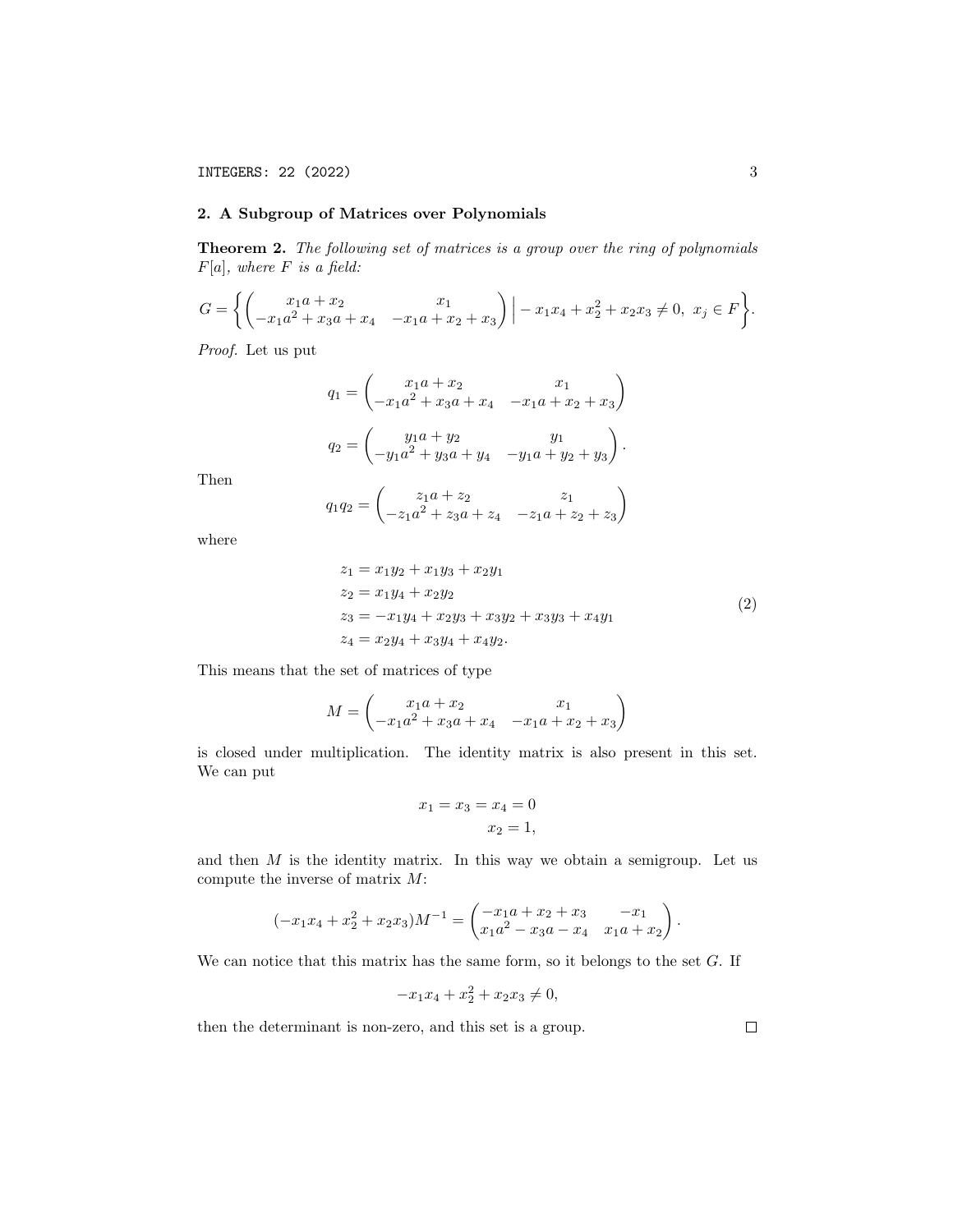## 2. A Subgroup of Matrices over Polynomials

Theorem 2. The following set of matrices is a group over the ring of polynomials  $F[a]$ , where F is a field:

$$
G = \left\{ \begin{pmatrix} x_1a + x_2 & x_1 \\ -x_1a^2 + x_3a + x_4 & -x_1a + x_2 + x_3 \end{pmatrix} \Big| -x_1x_4 + x_2^2 + x_2x_3 \neq 0, \ x_j \in F \right\}.
$$

Proof. Let us put

$$
q_1 = \begin{pmatrix} x_1a + x_2 & x_1 \\ -x_1a^2 + x_3a + x_4 & -x_1a + x_2 + x_3 \end{pmatrix}
$$

$$
q_2 = \begin{pmatrix} y_1a + y_2 & y_1 \\ -y_1a^2 + y_3a + y_4 & -y_1a + y_2 + y_3 \end{pmatrix}.
$$

Then

$$
q_1 q_2 = \begin{pmatrix} z_1 a + z_2 & z_1 \\ -z_1 a^2 + z_3 a + z_4 & -z_1 a + z_2 + z_3 \end{pmatrix}
$$

where

$$
z_1 = x_1y_2 + x_1y_3 + x_2y_1
$$
  
\n
$$
z_2 = x_1y_4 + x_2y_2
$$
  
\n
$$
z_3 = -x_1y_4 + x_2y_3 + x_3y_2 + x_3y_3 + x_4y_1
$$
  
\n
$$
z_4 = x_2y_4 + x_3y_4 + x_4y_2.
$$
\n(2)

This means that the set of matrices of type

$$
M = \begin{pmatrix} x_1a + x_2 & x_1 \\ -x_1a^2 + x_3a + x_4 & -x_1a + x_2 + x_3 \end{pmatrix}
$$

is closed under multiplication. The identity matrix is also present in this set. We can put

$$
x_1 = x_3 = x_4 = 0
$$

$$
x_2 = 1,
$$

and then  $M$  is the identity matrix. In this way we obtain a semigroup. Let us compute the inverse of matrix  $M$ :

$$
(-x_1x_4 + x_2^2 + x_2x_3)M^{-1} = \begin{pmatrix} -x_1a + x_2 + x_3 & -x_1 \ x_1a^2 - x_3a - x_4 & x_1a + x_2 \end{pmatrix}.
$$

We can notice that this matrix has the same form, so it belongs to the set  $G$ . If

$$
-x_1x_4 + x_2^2 + x_2x_3 \neq 0,
$$

then the determinant is non-zero, and this set is a group.

 $\Box$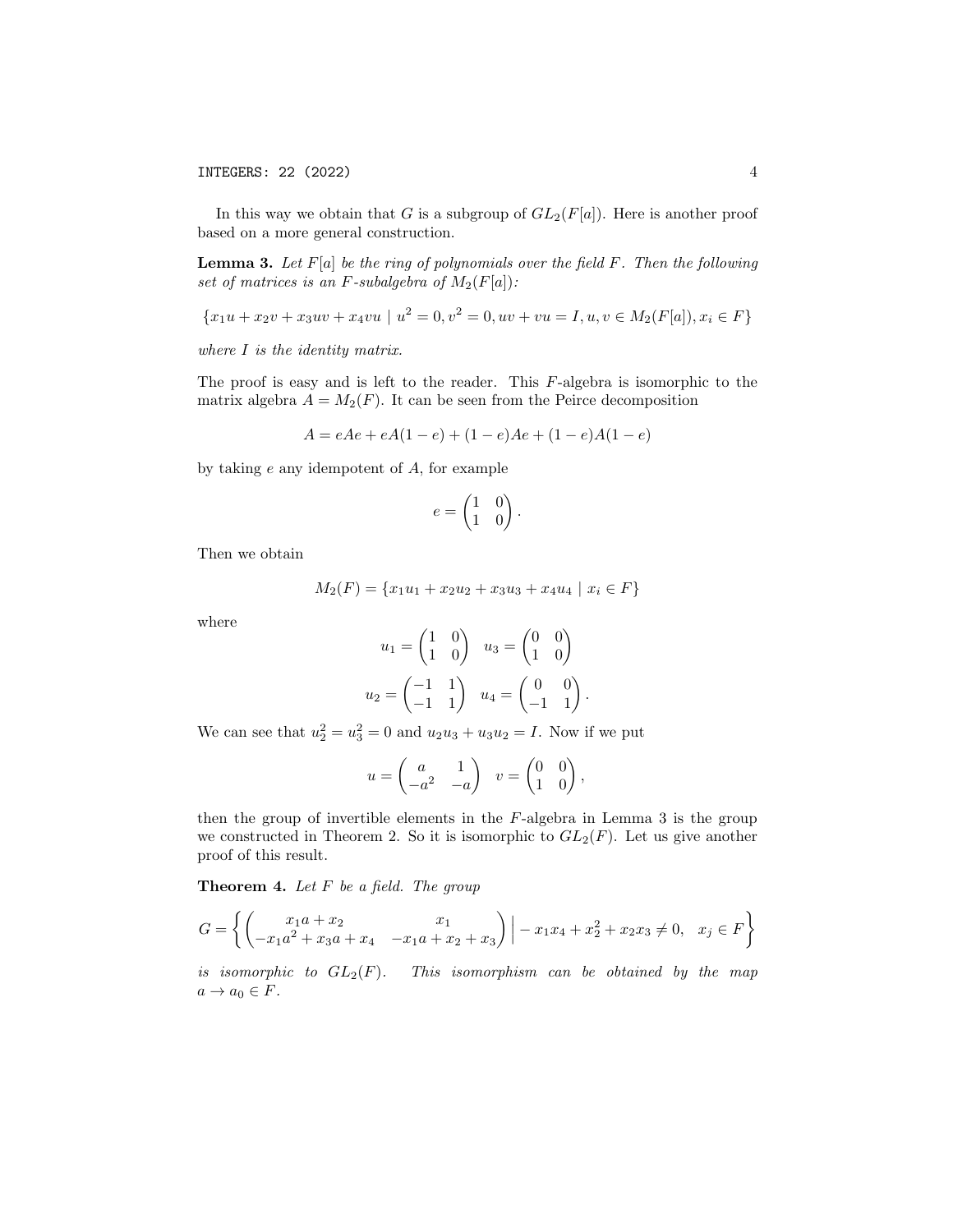In this way we obtain that G is a subgroup of  $GL_2(F[a])$ . Here is another proof based on a more general construction.

**Lemma 3.** Let  $F[a]$  be the ring of polynomials over the field  $F$ . Then the following set of matrices is an F-subalgebra of  $M_2(F[a])$ :

 ${x_1u + x_2v + x_3uv + x_4vu \mid u^2 = 0, v^2 = 0, uv + vu = I, u, v \in M_2(F[a]), x_i \in F}$ 

where I is the identity matrix.

The proof is easy and is left to the reader. This  $F$ -algebra is isomorphic to the matrix algebra  $A = M_2(F)$ . It can be seen from the Peirce decomposition

$$
A = eAe + eA(1 - e) + (1 - e)Ae + (1 - e)A(1 - e)
$$

by taking  $e$  any idempotent of  $A$ , for example

$$
e = \begin{pmatrix} 1 & 0 \\ 1 & 0 \end{pmatrix}.
$$

Then we obtain

$$
M_2(F) = \{x_1u_1 + x_2u_2 + x_3u_3 + x_4u_4 \mid x_i \in F\}
$$

where

$$
u_1 = \begin{pmatrix} 1 & 0 \\ 1 & 0 \end{pmatrix} \quad u_3 = \begin{pmatrix} 0 & 0 \\ 1 & 0 \end{pmatrix}
$$

$$
u_2 = \begin{pmatrix} -1 & 1 \\ -1 & 1 \end{pmatrix} \quad u_4 = \begin{pmatrix} 0 & 0 \\ -1 & 1 \end{pmatrix}.
$$

We can see that  $u_2^2 = u_3^2 = 0$  and  $u_2u_3 + u_3u_2 = I$ . Now if we put

$$
u = \begin{pmatrix} a & 1 \\ -a^2 & -a \end{pmatrix} \quad v = \begin{pmatrix} 0 & 0 \\ 1 & 0 \end{pmatrix},
$$

then the group of invertible elements in the F-algebra in Lemma 3 is the group we constructed in Theorem 2. So it is isomorphic to  $GL_2(F)$ . Let us give another proof of this result.

**Theorem 4.** Let  $F$  be a field. The group

$$
G = \left\{ \begin{pmatrix} x_1a + x_2 & x_1 \\ -x_1a^2 + x_3a + x_4 & -x_1a + x_2 + x_3 \end{pmatrix} \middle| -x_1x_4 + x_2^2 + x_2x_3 \neq 0, \quad x_j \in F \right\}
$$

is isomorphic to  $GL_2(F)$ . This isomorphism can be obtained by the map  $a \rightarrow a_0 \in F$ .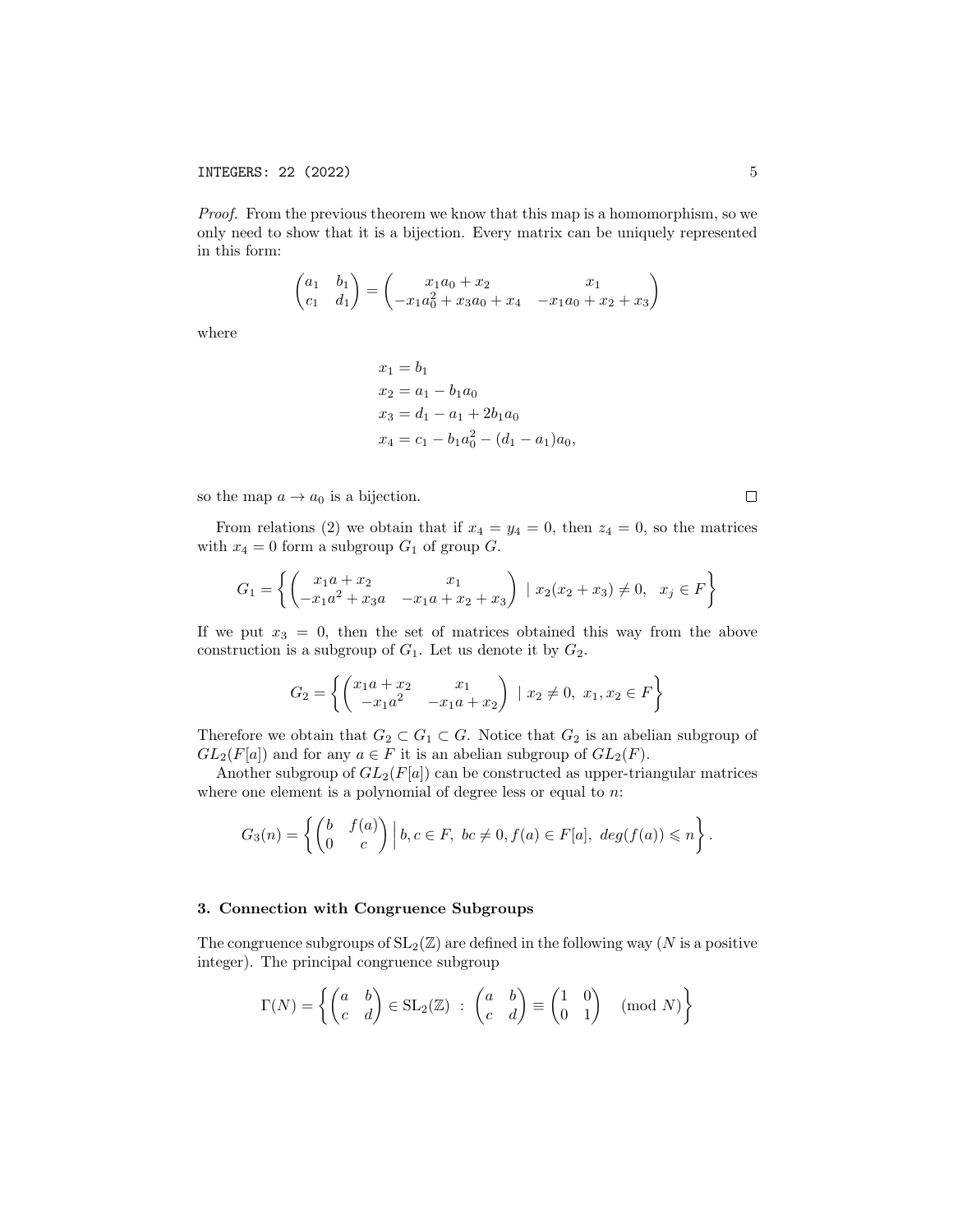Proof. From the previous theorem we know that this map is a homomorphism, so we only need to show that it is a bijection. Every matrix can be uniquely represented in this form:

$$
\begin{pmatrix} a_1 & b_1 \ c_1 & d_1 \end{pmatrix} = \begin{pmatrix} x_1a_0 + x_2 & x_1 \ -x_1a_0^2 + x_3a_0 + x_4 & -x_1a_0 + x_2 + x_3 \end{pmatrix}
$$

where

$$
x_1 = b_1
$$
  
\n
$$
x_2 = a_1 - b_1 a_0
$$
  
\n
$$
x_3 = d_1 - a_1 + 2b_1 a_0
$$
  
\n
$$
x_4 = c_1 - b_1 a_0^2 - (d_1 - a_1) a_0,
$$

so the map  $a \to a_0$  is a bijection.

From relations (2) we obtain that if  $x_4 = y_4 = 0$ , then  $z_4 = 0$ , so the matrices with  $x_4 = 0$  form a subgroup  $G_1$  of group  $G$ .

$$
G_1 = \left\{ \begin{pmatrix} x_1a + x_2 & x_1 \\ -x_1a^2 + x_3a & -x_1a + x_2 + x_3 \end{pmatrix} \mid x_2(x_2 + x_3) \neq 0, \quad x_j \in F \right\}
$$

If we put  $x_3 = 0$ , then the set of matrices obtained this way from the above construction is a subgroup of  $G_1$ . Let us denote it by  $G_2$ .

$$
G_2 = \left\{ \begin{pmatrix} x_1 a + x_2 & x_1 \\ -x_1 a^2 & -x_1 a + x_2 \end{pmatrix} \mid x_2 \neq 0, \ x_1, x_2 \in F \right\}
$$

Therefore we obtain that  $G_2 \subset G_1 \subset G$ . Notice that  $G_2$  is an abelian subgroup of  $GL_2(F[a])$  and for any  $a \in F$  it is an abelian subgroup of  $GL_2(F)$ .

Another subgroup of  $GL_2(F[a])$  can be constructed as upper-triangular matrices where one element is a polynomial of degree less or equal to  $n$ .

$$
G_3(n) = \left\{ \begin{pmatrix} b & f(a) \\ 0 & c \end{pmatrix} \Big| b, c \in F, \ bc \neq 0, f(a) \in F[a], \ deg(f(a)) \leq n \right\}.
$$

#### 3. Connection with Congruence Subgroups

The congruence subgroups of  $SL_2(\mathbb{Z})$  are defined in the following way (N is a positive integer). The principal congruence subgroup

$$
\Gamma(N) = \left\{ \begin{pmatrix} a & b \\ c & d \end{pmatrix} \in SL_2(\mathbb{Z}) \ : \ \begin{pmatrix} a & b \\ c & d \end{pmatrix} \equiv \begin{pmatrix} 1 & 0 \\ 0 & 1 \end{pmatrix} \pmod{N} \right\}
$$

 $\Box$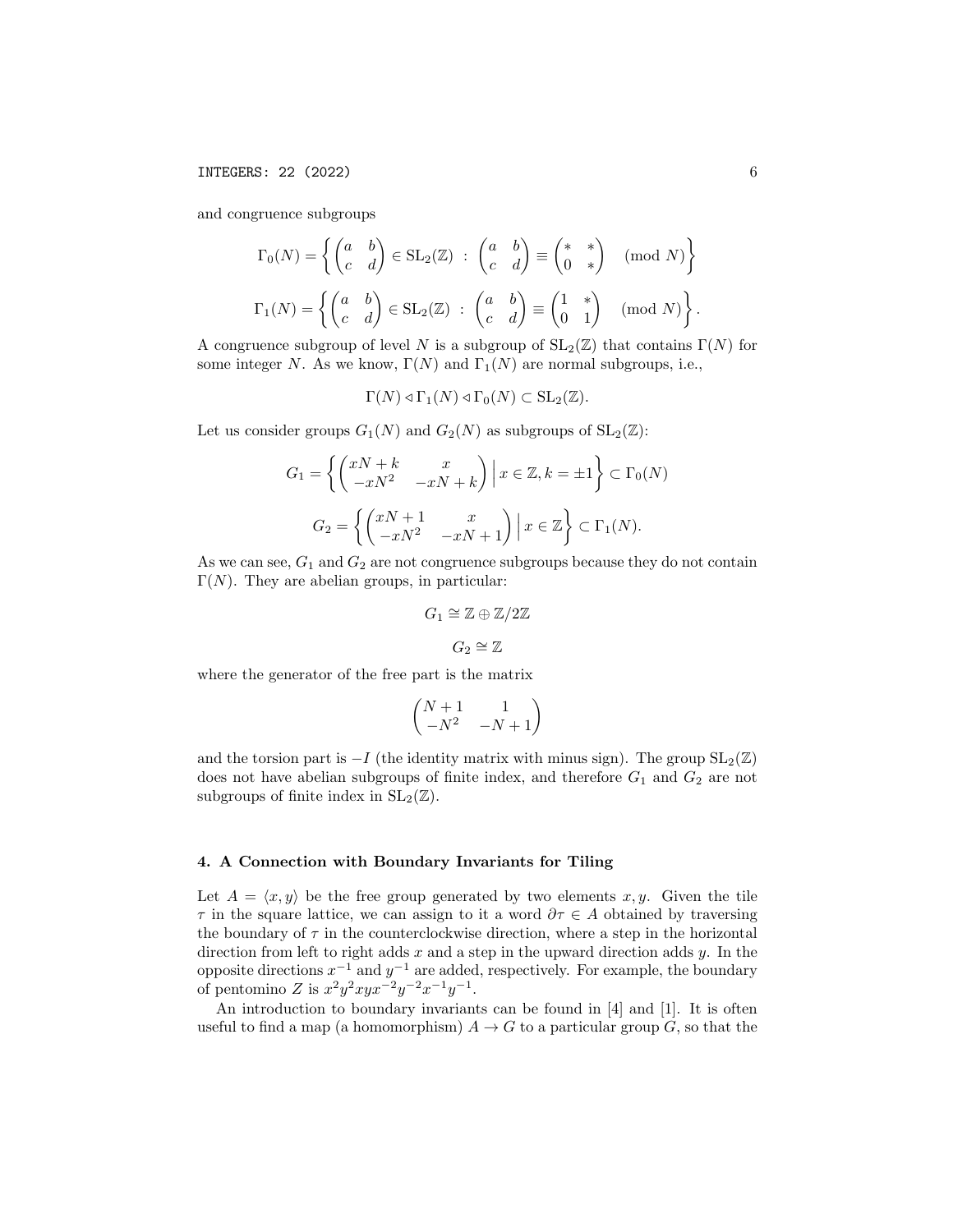and congruence subgroups

$$
\Gamma_0(N) = \left\{ \begin{pmatrix} a & b \\ c & d \end{pmatrix} \in SL_2(\mathbb{Z}) \ : \begin{pmatrix} a & b \\ c & d \end{pmatrix} \equiv \begin{pmatrix} * & * \\ 0 & * \end{pmatrix} \pmod{N} \right\}
$$

$$
\Gamma_1(N) = \left\{ \begin{pmatrix} a & b \\ c & d \end{pmatrix} \in SL_2(\mathbb{Z}) \ : \begin{pmatrix} a & b \\ c & d \end{pmatrix} \equiv \begin{pmatrix} 1 & * \\ 0 & 1 \end{pmatrix} \pmod{N} \right\}
$$

A congruence subgroup of level N is a subgroup of  $SL_2(\mathbb{Z})$  that contains  $\Gamma(N)$  for some integer N. As we know,  $\Gamma(N)$  and  $\Gamma_1(N)$  are normal subgroups, i.e.,

$$
\Gamma(N) \triangleleft \Gamma_1(N) \triangleleft \Gamma_0(N) \subset \text{SL}_2(\mathbb{Z}).
$$

Let us consider groups  $G_1(N)$  and  $G_2(N)$  as subgroups of  $SL_2(\mathbb{Z})$ :

$$
G_1 = \left\{ \begin{pmatrix} xN + k & x \\ -xN^2 & -xN + k \end{pmatrix} \middle| x \in \mathbb{Z}, k = \pm 1 \right\} \subset \Gamma_0(N)
$$
  

$$
G_2 = \left\{ \begin{pmatrix} xN + 1 & x \\ -xN^2 & -xN + 1 \end{pmatrix} \middle| x \in \mathbb{Z} \right\} \subset \Gamma_1(N).
$$

As we can see,  $G_1$  and  $G_2$  are not congruence subgroups because they do not contain  $\Gamma(N)$ . They are abelian groups, in particular:

$$
G_1 \cong \mathbb{Z} \oplus \mathbb{Z}/2\mathbb{Z}
$$

$$
G_2 \cong \mathbb{Z}
$$

where the generator of the free part is the matrix

$$
\begin{pmatrix} N+1 & 1 \ -N^2 & -N+1 \end{pmatrix}
$$

and the torsion part is  $-I$  (the identity matrix with minus sign). The group  $SL_2(\mathbb{Z})$ does not have abelian subgroups of finite index, and therefore  $G_1$  and  $G_2$  are not subgroups of finite index in  $SL_2(\mathbb{Z})$ .

#### 4. A Connection with Boundary Invariants for Tiling

Let  $A = \langle x, y \rangle$  be the free group generated by two elements x, y. Given the tile  $\tau$  in the square lattice, we can assign to it a word  $\partial \tau \in A$  obtained by traversing the boundary of  $\tau$  in the counterclockwise direction, where a step in the horizontal direction from left to right adds  $x$  and a step in the upward direction adds  $y$ . In the opposite directions  $x^{-1}$  and  $y^{-1}$  are added, respectively. For example, the boundary of pentomino Z is  $x^2y^2xyx^{-2}y^{-2}x^{-1}y^{-1}$ .

An introduction to boundary invariants can be found in [4] and [1]. It is often useful to find a map (a homomorphism)  $A \to G$  to a particular group G, so that the

.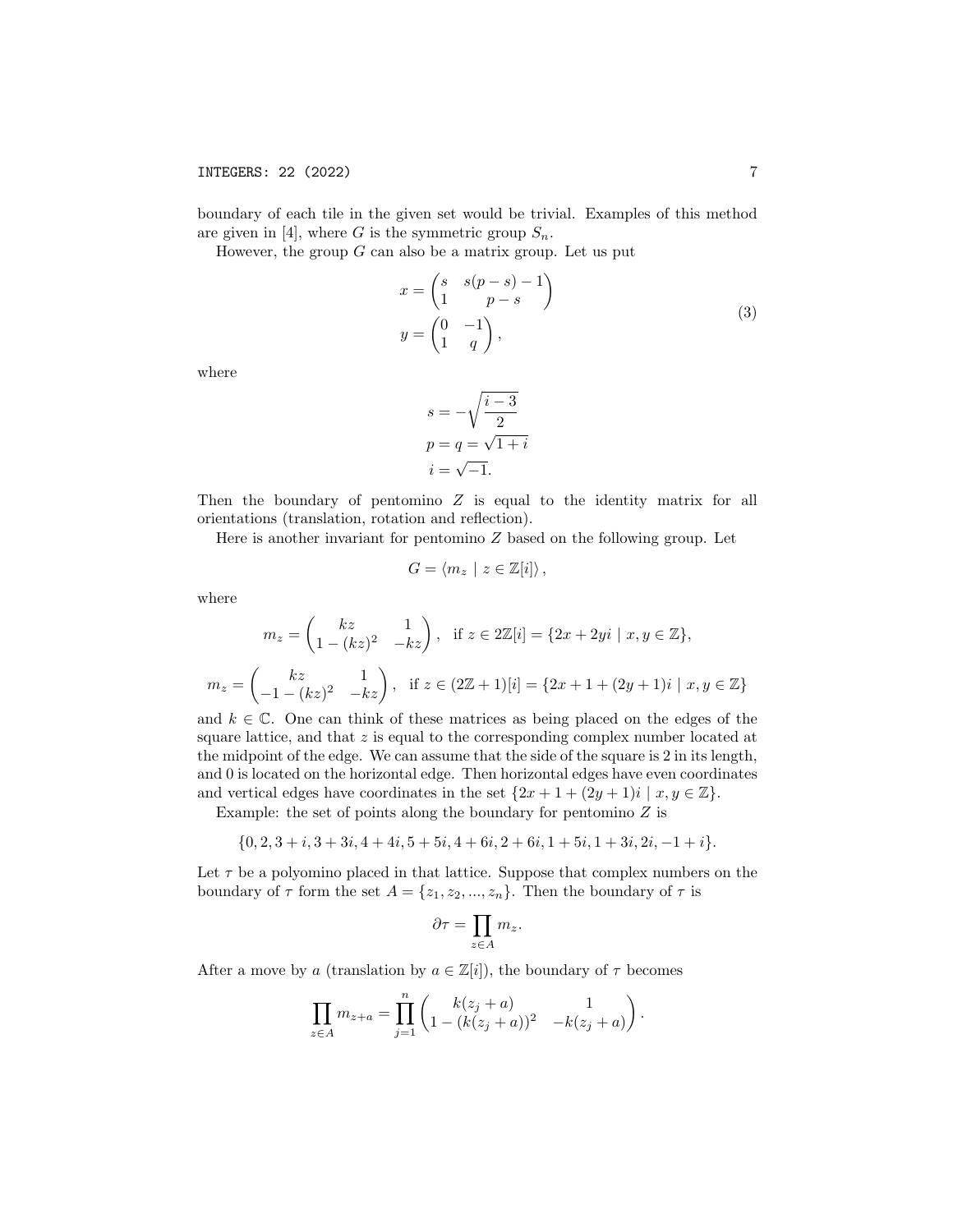boundary of each tile in the given set would be trivial. Examples of this method are given in [4], where G is the symmetric group  $S_n$ .

However, the group  $G$  can also be a matrix group. Let us put

$$
x = \begin{pmatrix} s & s(p-s) - 1 \\ 1 & p-s \end{pmatrix}
$$
  
\n
$$
y = \begin{pmatrix} 0 & -1 \\ 1 & q \end{pmatrix},
$$
 (3)

where

$$
s = -\sqrt{\frac{i-3}{2}}
$$

$$
p = q = \sqrt{1+i}
$$

$$
i = \sqrt{-1}.
$$

Then the boundary of pentomino  $Z$  is equal to the identity matrix for all orientations (translation, rotation and reflection).

Here is another invariant for pentomino  $Z$  based on the following group. Let

$$
G = \langle m_z \mid z \in \mathbb{Z}[i] \rangle \,,
$$

where

$$
m_z = \begin{pmatrix} kz & 1 \\ 1 - (kz)^2 & -kz \end{pmatrix}, \text{ if } z \in 2\mathbb{Z}[i] = \{2x + 2yi \mid x, y \in \mathbb{Z}\},
$$
  

$$
m_z = \begin{pmatrix} kz & 1 \\ -1 - (kz)^2 & -kz \end{pmatrix}, \text{ if } z \in (2\mathbb{Z} + 1)[i] = \{2x + 1 + (2y + 1)i \mid x, y \in \mathbb{Z}\}
$$

and  $k \in \mathbb{C}$ . One can think of these matrices as being placed on the edges of the square lattice, and that  $z$  is equal to the corresponding complex number located at the midpoint of the edge. We can assume that the side of the square is 2 in its length, and 0 is located on the horizontal edge. Then horizontal edges have even coordinates and vertical edges have coordinates in the set  $\{2x + 1 + (2y + 1)i \mid x, y \in \mathbb{Z}\}.$ 

Example: the set of points along the boundary for pentomino  $Z$  is

$$
\{0,2,3+i,3+3i,4+4i,5+5i,4+6i,2+6i,1+5i,1+3i,2i,-1+i\}.
$$

Let  $\tau$  be a polyomino placed in that lattice. Suppose that complex numbers on the boundary of  $\tau$  form the set  $A = \{z_1, z_2, ..., z_n\}$ . Then the boundary of  $\tau$  is

$$
\partial \tau = \prod_{z \in A} m_z.
$$

After a move by a (translation by  $a \in \mathbb{Z}[i]$ ), the boundary of  $\tau$  becomes

$$
\prod_{z \in A} m_{z+a} = \prod_{j=1}^n \begin{pmatrix} k(z_j + a) & 1 \\ 1 - (k(z_j + a))^2 & -k(z_j + a) \end{pmatrix}.
$$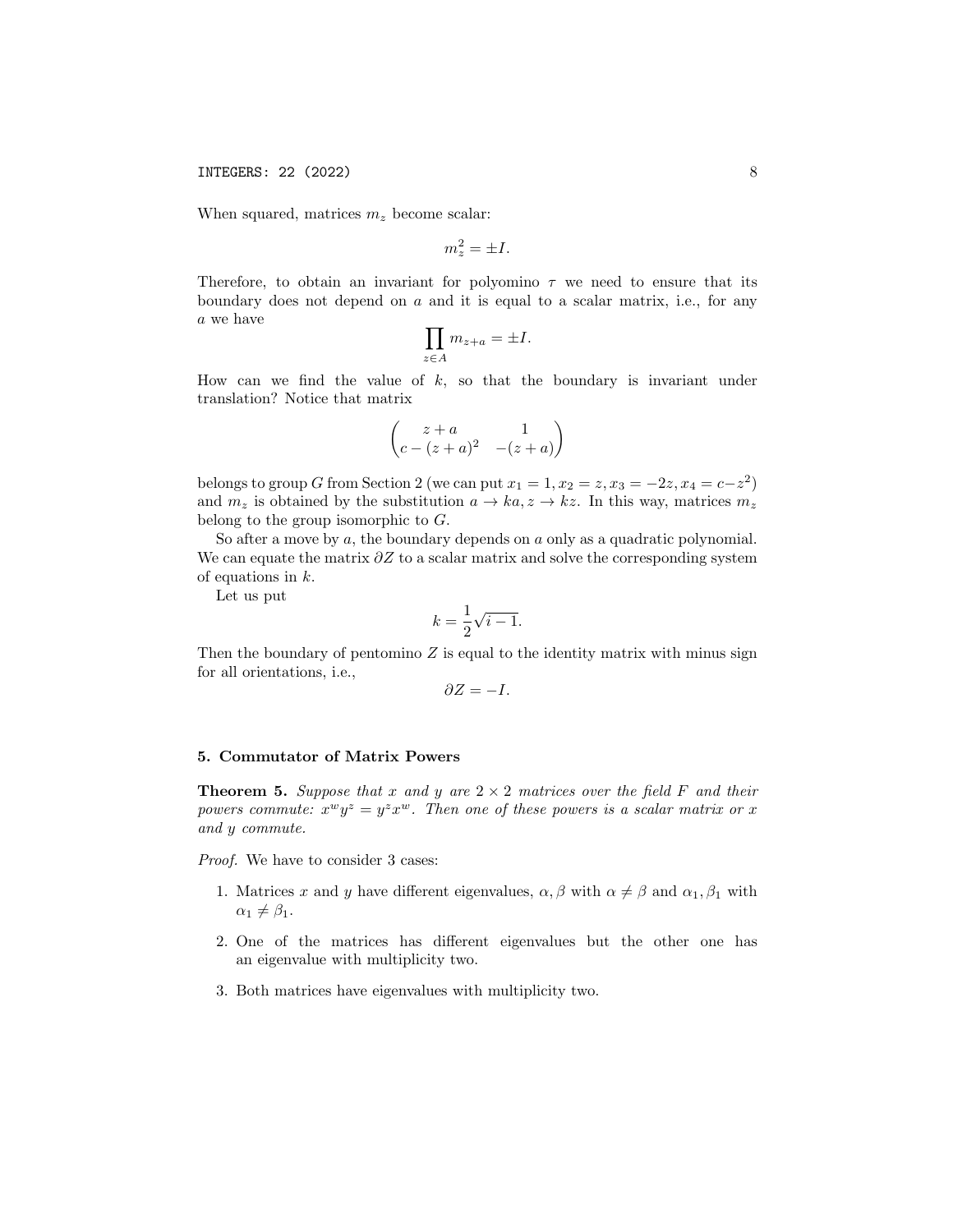When squared, matrices  $m_z$  become scalar:

$$
m_z^2 = \pm I.
$$

Therefore, to obtain an invariant for polyomino  $\tau$  we need to ensure that its boundary does not depend on  $a$  and it is equal to a scalar matrix, i.e., for any a we have

$$
\prod_{z \in A} m_{z+a} = \pm I.
$$

How can we find the value of  $k$ , so that the boundary is invariant under translation? Notice that matrix

$$
\begin{pmatrix} z+a & 1 \ c-(z+a)^2 & -(z+a) \end{pmatrix}
$$

belongs to group G from Section 2 (we can put  $x_1 = 1, x_2 = z, x_3 = -2z, x_4 = c-z^2$ ) and  $m_z$  is obtained by the substitution  $a \to ka, z \to kz$ . In this way, matrices  $m_z$ belong to the group isomorphic to  $G$ .

So after a move by  $a$ , the boundary depends on  $a$  only as a quadratic polynomial. We can equate the matrix  $\partial Z$  to a scalar matrix and solve the corresponding system of equations in k.

Let us put

$$
k=\frac{1}{2}\sqrt{i-1}.
$$

Then the boundary of pentomino  $Z$  is equal to the identity matrix with minus sign for all orientations, i.e.,

$$
\partial Z = -I.
$$

### 5. Commutator of Matrix Powers

**Theorem 5.** Suppose that x and y are  $2 \times 2$  matrices over the field F and their powers commute:  $x^w y^z = y^z x^w$ . Then one of these powers is a scalar matrix or x and y commute.

Proof. We have to consider 3 cases:

- 1. Matrices x and y have different eigenvalues,  $\alpha, \beta$  with  $\alpha \neq \beta$  and  $\alpha_1, \beta_1$  with  $\alpha_1 \neq \beta_1$ .
- 2. One of the matrices has different eigenvalues but the other one has an eigenvalue with multiplicity two.
- 3. Both matrices have eigenvalues with multiplicity two.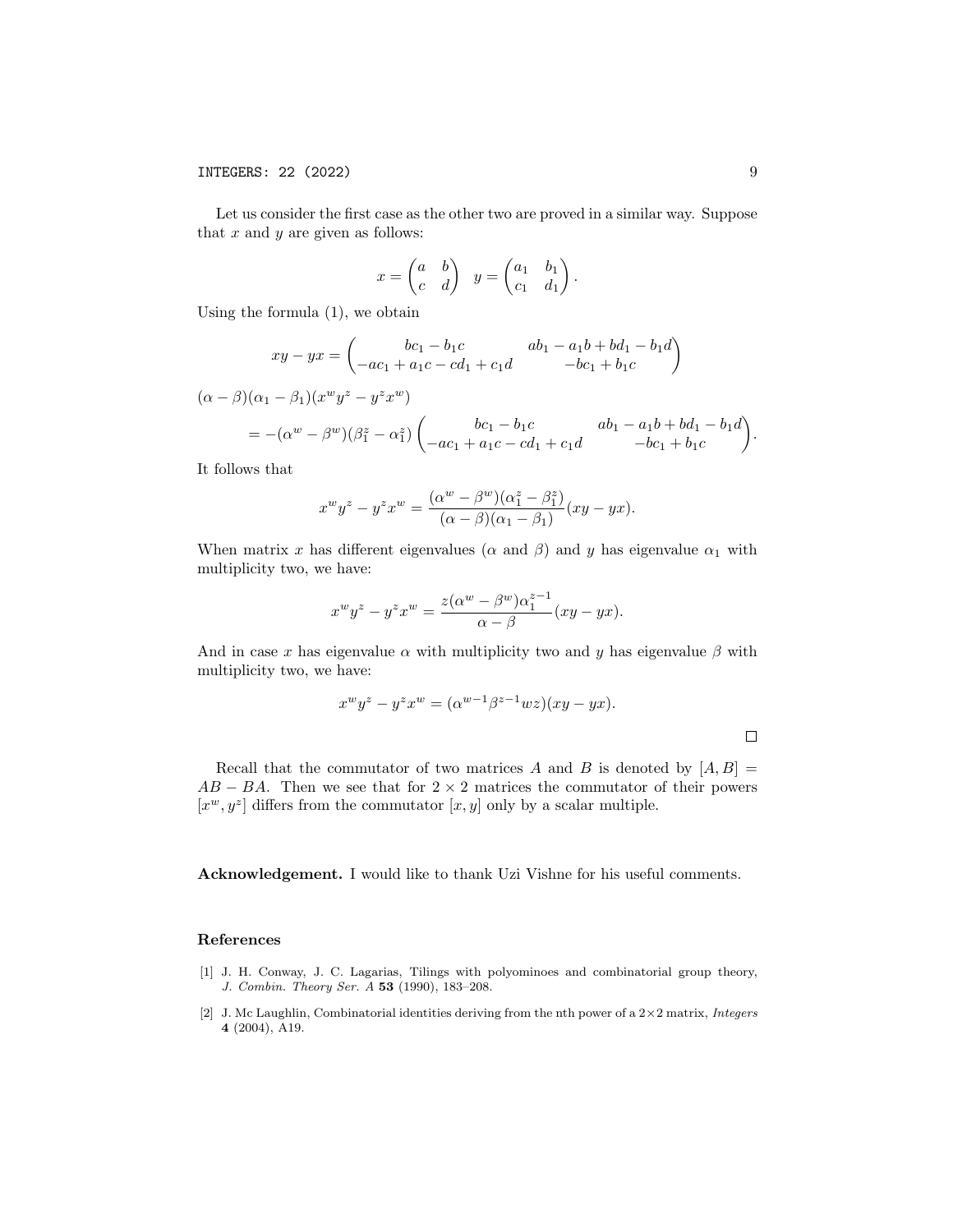Let us consider the first case as the other two are proved in a similar way. Suppose that  $x$  and  $y$  are given as follows:

$$
x = \begin{pmatrix} a & b \\ c & d \end{pmatrix} \quad y = \begin{pmatrix} a_1 & b_1 \\ c_1 & d_1 \end{pmatrix}.
$$

Using the formula (1), we obtain

$$
xy - yx = \begin{pmatrix} bc_1 - b_1c & ab_1 - a_1b + bd_1 - b_1d \\ -ac_1 + a_1c - cd_1 + c_1d & -bc_1 + b_1c \end{pmatrix}
$$

 $(\alpha - \beta)(\alpha_1 - \beta_1)(x^w y^z - y^z x^w)$ 

$$
= -(\alpha^{w} - \beta^{w})(\beta_{1}^{z} - \alpha_{1}^{z}) \begin{pmatrix} bc_{1} - b_{1}c & ab_{1} - a_{1}b + bd_{1} - b_{1}d \\ -ac_{1} + a_{1}c - cd_{1} + c_{1}d & -bc_{1} + b_{1}c \end{pmatrix}.
$$

It follows that

$$
x^w y^z - y^z x^w = \frac{(\alpha^w - \beta^w)(\alpha_1^z - \beta_1^z)}{(\alpha - \beta)(\alpha_1 - \beta_1)}(xy - yx).
$$

When matrix x has different eigenvalues ( $\alpha$  and  $\beta$ ) and y has eigenvalue  $\alpha_1$  with multiplicity two, we have:

$$
x^{w}y^{z} - y^{z}x^{w} = \frac{z(\alpha^{w} - \beta^{w})\alpha_{1}^{z-1}}{\alpha - \beta}(xy - yx).
$$

And in case x has eigenvalue  $\alpha$  with multiplicity two and y has eigenvalue  $\beta$  with multiplicity two, we have:

$$
x^{w}y^{z} - y^{z}x^{w} = (\alpha^{w-1}\beta^{z-1}wz)(xy - yx).
$$

Recall that the commutator of two matrices A and B is denoted by  $[A, B] =$  $AB - BA$ . Then we see that for  $2 \times 2$  matrices the commutator of their powers  $[x^w, y^z]$  differs from the commutator  $[x, y]$  only by a scalar multiple.

Acknowledgement. I would like to thank Uzi Vishne for his useful comments.

#### References

- [1] J. H. Conway, J. C. Lagarias, Tilings with polyominoes and combinatorial group theory, J. Combin. Theory Ser. A 53 (1990), 183–208.
- [2] J. Mc Laughlin, Combinatorial identities deriving from the nth power of a  $2\times 2$  matrix, Integers 4 (2004), A19.

 $\Box$